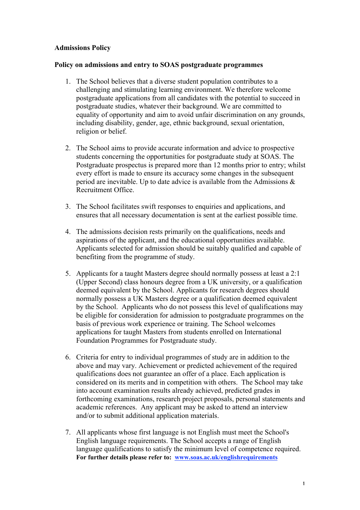## Admissions Policy

## Policy on admissions and entry to SOAS postgraduate programmes

- 1. The School believes that a diverse student population contributes to a challenging and stimulating learning environment. We therefore welcome postgraduate applications from all candidates with the potential to succeed in postgraduate studies, whatever their background. We are committed to equality of opportunity and aim to avoid unfair discrimination on any grounds, including disability, gender, age, ethnic background, sexual orientation, religion or belief.
- 2. The School aims to provide accurate information and advice to prospective students concerning the opportunities for postgraduate study at SOAS. The Postgraduate prospectus is prepared more than 12 months prior to entry; whilst every effort is made to ensure its accuracy some changes in the subsequent period are inevitable. Up to date advice is available from the Admissions & Recruitment Office.
- 3. The School facilitates swift responses to enquiries and applications, and ensures that all necessary documentation is sent at the earliest possible time.
- 4. The admissions decision rests primarily on the qualifications, needs and aspirations of the applicant, and the educational opportunities available. Applicants selected for admission should be suitably qualified and capable of benefiting from the programme of study.
- 5. Applicants for a taught Masters degree should normally possess at least a 2:1 (Upper Second) class honours degree from a UK university, or a qualification deemed equivalent by the School. Applicants for research degrees should normally possess a UK Masters degree or a qualification deemed equivalent by the School. Applicants who do not possess this level of qualifications may be eligible for consideration for admission to postgraduate programmes on the basis of previous work experience or training. The School welcomes applications for taught Masters from students enrolled on International Foundation Programmes for Postgraduate study.
- 6. Criteria for entry to individual programmes of study are in addition to the above and may vary. Achievement or predicted achievement of the required qualifications does not guarantee an offer of a place. Each application is considered on its merits and in competition with others. The School may take into account examination results already achieved, predicted grades in forthcoming examinations, research project proposals, personal statements and academic references. Any applicant may be asked to attend an interview and/or to submit additional application materials.
- 7. All applicants whose first language is not English must meet the School's English language requirements. The School accepts a range of English language qualifications to satisfy the minimum level of competence required. For further details please refer to: www.soas.ac.uk/englishrequirements